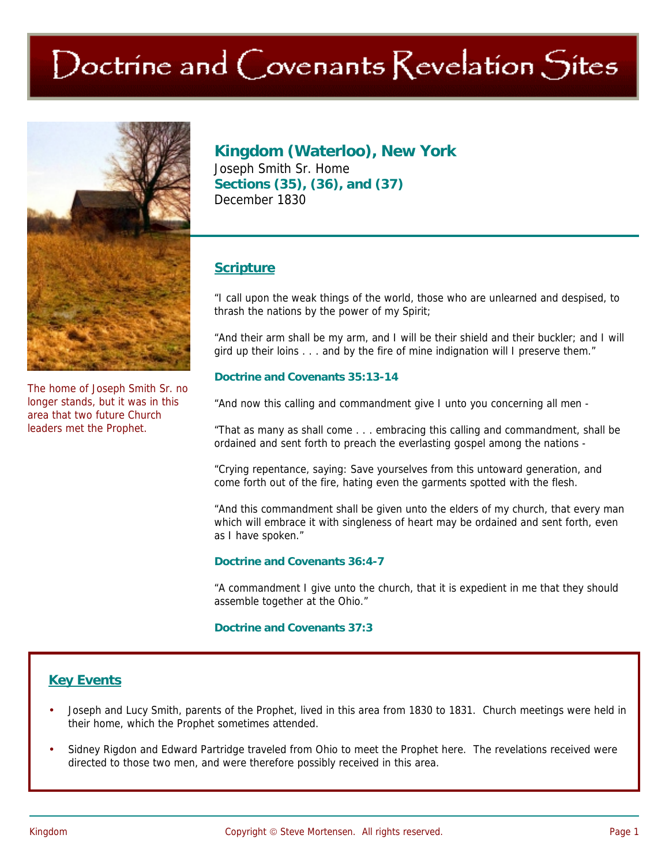# Doctrine and Covenants Revelation Sites



The home of Joseph Smith Sr. no longer stands, but it was in this area that two future Church leaders met the Prophet.

**Kingdom (Waterloo), New York** Joseph Smith Sr. Home **Sections (35), (36), and (37)**  December 1830

## **Scripture**

"I call upon the weak things of the world, those who are unlearned and despised, to thrash the nations by the power of my Spirit;

"And their arm shall be my arm, and I will be their shield and their buckler; and I will gird up their loins . . . and by the fire of mine indignation will I preserve them."

### **Doctrine and Covenants 35:13-14**

"And now this calling and commandment give I unto you concerning all men -

"That as many as shall come . . . embracing this calling and commandment, shall be ordained and sent forth to preach the everlasting gospel among the nations -

"Crying repentance, saying: Save yourselves from this untoward generation, and come forth out of the fire, hating even the garments spotted with the flesh.

"And this commandment shall be given unto the elders of my church, that every man which will embrace it with singleness of heart may be ordained and sent forth, even as I have spoken."

#### **Doctrine and Covenants 36:4-7**

"A commandment I give unto the church, that it is expedient in me that they should assemble together at the Ohio."

#### **Doctrine and Covenants 37:3**

## **Key Events**

- Joseph and Lucy Smith, parents of the Prophet, lived in this area from 1830 to 1831. Church meetings were held in their home, which the Prophet sometimes attended.
- Sidney Rigdon and Edward Partridge traveled from Ohio to meet the Prophet here. The revelations received were directed to those two men, and were therefore possibly received in this area.